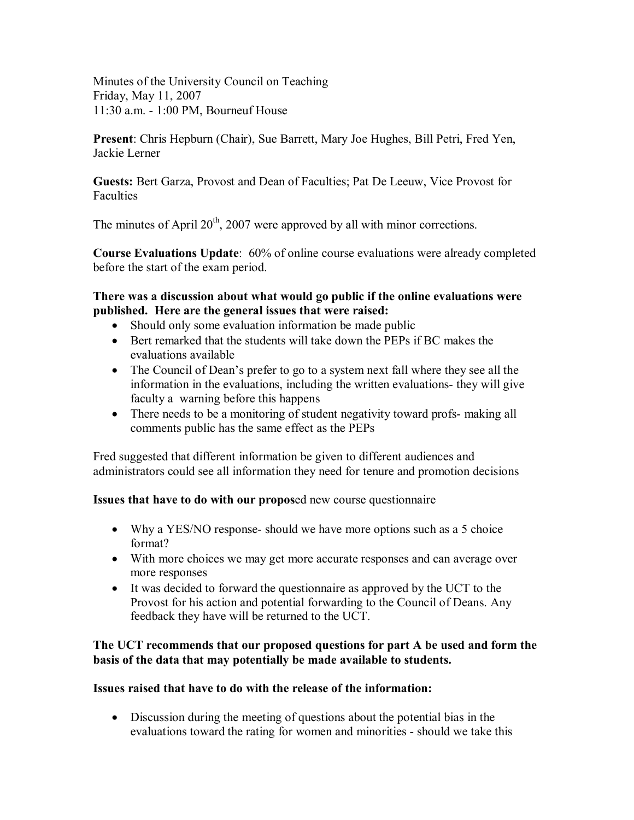Minutes of the University Council on Teaching Friday, May 11, 2007 11:30 a.m. 1:00 PM, Bourneuf House

**Present**: Chris Hepburn (Chair), Sue Barrett, Mary Joe Hughes, Bill Petri, Fred Yen, Jackie Lerner

**Guests:** Bert Garza, Provost and Dean of Faculties; Pat De Leeuw, Vice Provost for Faculties

The minutes of April  $20<sup>th</sup>$ , 2007 were approved by all with minor corrections.

**Course Evaluations Update**: 60% of online course evaluations were already completed before the start of the exam period.

#### **There was a discussion about what would go public if the online evaluations were published. Here are the general issues that were raised:**

- Should only some evaluation information be made public
- · Bert remarked that the students will take down the PEPs if BC makes the evaluations available
- The Council of Dean's prefer to go to a system next fall where they see all the information in the evaluations, including the written evaluations- they will give faculty a warning before this happens
- There needs to be a monitoring of student negativity toward profs-making all comments public has the same effect as the PEPs

Fred suggested that different information be given to different audiences and administrators could see all information they need for tenure and promotion decisions

# **Issues that have to do with our propos**ed new course questionnaire

- Why a YES/NO response- should we have more options such as a 5 choice format?
- With more choices we may get more accurate responses and can average over more responses
- · It was decided to forward the questionnaire as approved by the UCT to the Provost for his action and potential forwarding to the Council of Deans. Any feedback they have will be returned to the UCT.

### **The UCT recommends that our proposed questions for part A be used and form the basis of the data that may potentially be made available to students.**

# **Issues raised that have to do with the release of the information:**

• Discussion during the meeting of questions about the potential bias in the evaluations toward the rating for women and minorities - should we take this